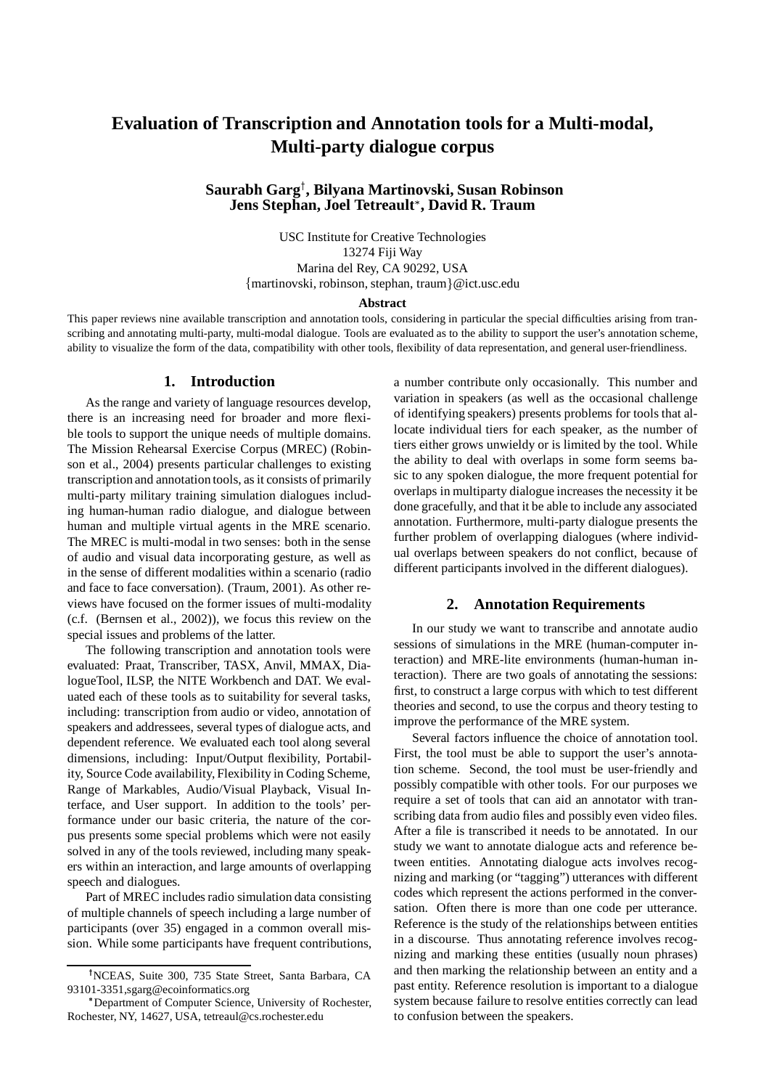# **Evaluation of Transcription and Annotation tools for a Multi-modal, Multi-party dialogue corpus**

# **Saurabh Garg , Bilyana Martinovski, Susan Robinson Jens Stephan, Joel Tetreault , David R. Traum**

USC Institute for Creative Technologies 13274 Fiji Way Marina del Rey, CA 90292, USA {martinovski, robinson, stephan, traum}@ict.usc.edu

#### **Abstract**

This paper reviews nine available transcription and annotation tools, considering in particular the special difficulties arising from transcribing and annotating multi-party, multi-modal dialogue. Tools are evaluated as to the ability to support the user's annotation scheme, ability to visualize the form of the data, compatibility with other tools, flexibility of data representation, and general user-friendliness.

## **1. Introduction**

As the range and variety of language resources develop, there is an increasing need for broader and more flexible tools to support the unique needs of multiple domains. The Mission Rehearsal Exercise Corpus (MREC) (Robinson et al., 2004) presents particular challenges to existing transcription and annotation tools, as it consists of primarily multi-party military training simulation dialogues including human-human radio dialogue, and dialogue between human and multiple virtual agents in the MRE scenario. The MREC is multi-modal in two senses: both in the sense of audio and visual data incorporating gesture, as well as in the sense of different modalities within a scenario (radio and face to face conversation). (Traum, 2001). As other reviews have focused on the former issues of multi-modality (c.f. (Bernsen et al., 2002)), we focus this review on the special issues and problems of the latter.

The following transcription and annotation tools were evaluated: Praat, Transcriber, TASX, Anvil, MMAX, DialogueTool, ILSP, the NITE Workbench and DAT. We evaluated each of these tools as to suitability for several tasks, including: transcription from audio or video, annotation of speakers and addressees, several types of dialogue acts, and dependent reference. We evaluated each tool along several dimensions, including: Input/Output flexibility, Portability, Source Code availability, Flexibility in Coding Scheme, Range of Markables, Audio/Visual Playback, Visual Interface, and User support. In addition to the tools' performance under our basic criteria, the nature of the corpus presents some special problems which were not easily solved in any of the tools reviewed, including many speakers within an interaction, and large amounts of overlapping speech and dialogues.

Part of MREC includes radio simulation data consisting of multiple channels of speech including a large number of participants (over 35) engaged in a common overall mission. While some participants have frequent contributions, a number contribute only occasionally. This number and variation in speakers (as well as the occasional challenge of identifying speakers) presents problems for tools that allocate individual tiers for each speaker, as the number of tiers either grows unwieldy or is limited by the tool. While the ability to deal with overlaps in some form seems basic to any spoken dialogue, the more frequent potential for overlaps in multiparty dialogue increases the necessity it be done gracefully, and that it be able to include any associated annotation. Furthermore, multi-party dialogue presents the further problem of overlapping dialogues (where individual overlaps between speakers do not conflict, because of different participants involved in the different dialogues).

#### **2. Annotation Requirements**

In our study we want to transcribe and annotate audio sessions of simulations in the MRE (human-computer interaction) and MRE-lite environments (human-human interaction). There are two goals of annotating the sessions: first, to construct a large corpus with which to test different theories and second, to use the corpus and theory testing to improve the performance of the MRE system.

Several factors influence the choice of annotation tool. First, the tool must be able to support the user's annotation scheme. Second, the tool must be user-friendly and possibly compatible with other tools. For our purposes we require a set of tools that can aid an annotator with transcribing data from audio files and possibly even video files. After a file is transcribed it needs to be annotated. In our study we want to annotate dialogue acts and reference between entities. Annotating dialogue acts involves recognizing and marking (or "tagging") utterances with different codes which represent the actions performed in the conversation. Often there is more than one code per utterance. Reference is the study of the relationships between entities in a discourse. Thus annotating reference involves recognizing and marking these entities (usually noun phrases) and then marking the relationship between an entity and a past entity. Reference resolution is important to a dialogue system because failure to resolve entities correctly can lead to confusion between the speakers.

NCEAS, Suite 300, 735 State Street, Santa Barbara, CA 93101-3351,sgarg@ecoinformatics.org

Department of Computer Science, University of Rochester, Rochester, NY, 14627, USA, tetreaul@cs.rochester.edu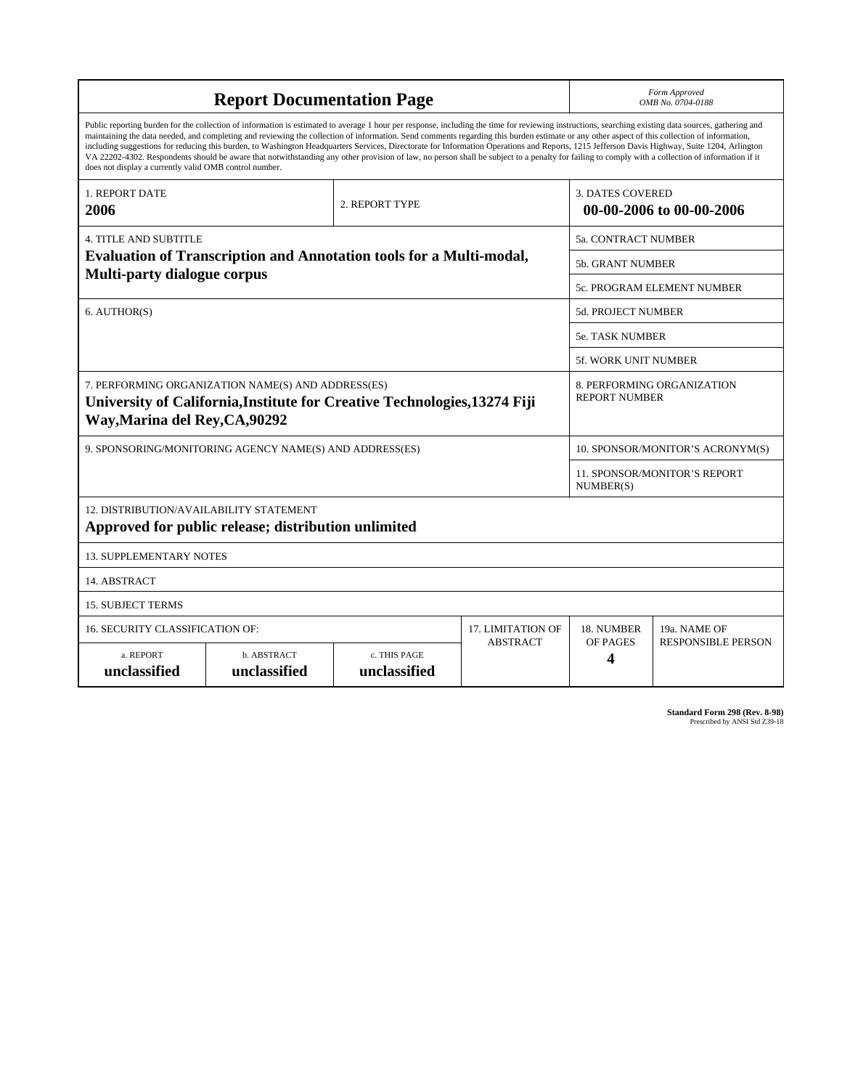|                                                                                                                                                                                                                                                                                                                                                                                                                                                                                                                                                                                                                                                                                                                                                                                                                                                                    | Form Approved<br>OMB No. 0704-0188 |                              |                 |                                                     |                                                    |  |  |  |  |  |
|--------------------------------------------------------------------------------------------------------------------------------------------------------------------------------------------------------------------------------------------------------------------------------------------------------------------------------------------------------------------------------------------------------------------------------------------------------------------------------------------------------------------------------------------------------------------------------------------------------------------------------------------------------------------------------------------------------------------------------------------------------------------------------------------------------------------------------------------------------------------|------------------------------------|------------------------------|-----------------|-----------------------------------------------------|----------------------------------------------------|--|--|--|--|--|
| Public reporting burden for the collection of information is estimated to average 1 hour per response, including the time for reviewing instructions, searching existing data sources, gathering and<br>maintaining the data needed, and completing and reviewing the collection of information. Send comments regarding this burden estimate or any other aspect of this collection of information,<br>including suggestions for reducing this burden, to Washington Headquarters Services, Directorate for Information Operations and Reports, 1215 Jefferson Davis Highway, Suite 1204, Arlington<br>VA 22202-4302. Respondents should be aware that notwithstanding any other provision of law, no person shall be subject to a penalty for failing to comply with a collection of information if it<br>does not display a currently valid OMB control number. |                                    |                              |                 |                                                     |                                                    |  |  |  |  |  |
| <b>1. REPORT DATE</b><br>2006                                                                                                                                                                                                                                                                                                                                                                                                                                                                                                                                                                                                                                                                                                                                                                                                                                      |                                    | 2. REPORT TYPE               |                 | <b>3. DATES COVERED</b><br>00-00-2006 to 00-00-2006 |                                                    |  |  |  |  |  |
| <b>4. TITLE AND SUBTITLE</b>                                                                                                                                                                                                                                                                                                                                                                                                                                                                                                                                                                                                                                                                                                                                                                                                                                       |                                    | 5a. CONTRACT NUMBER          |                 |                                                     |                                                    |  |  |  |  |  |
| <b>Evaluation of Transcription and Annotation tools for a Multi-modal,</b><br><b>Multi-party dialogue corpus</b>                                                                                                                                                                                                                                                                                                                                                                                                                                                                                                                                                                                                                                                                                                                                                   |                                    |                              |                 |                                                     | <b>5b. GRANT NUMBER</b>                            |  |  |  |  |  |
|                                                                                                                                                                                                                                                                                                                                                                                                                                                                                                                                                                                                                                                                                                                                                                                                                                                                    |                                    |                              |                 |                                                     | 5c. PROGRAM ELEMENT NUMBER                         |  |  |  |  |  |
| 6. AUTHOR(S)                                                                                                                                                                                                                                                                                                                                                                                                                                                                                                                                                                                                                                                                                                                                                                                                                                                       |                                    |                              |                 |                                                     | <b>5d. PROJECT NUMBER</b>                          |  |  |  |  |  |
|                                                                                                                                                                                                                                                                                                                                                                                                                                                                                                                                                                                                                                                                                                                                                                                                                                                                    |                                    |                              |                 |                                                     | <b>5e. TASK NUMBER</b>                             |  |  |  |  |  |
|                                                                                                                                                                                                                                                                                                                                                                                                                                                                                                                                                                                                                                                                                                                                                                                                                                                                    |                                    |                              |                 |                                                     | <b>5f. WORK UNIT NUMBER</b>                        |  |  |  |  |  |
| 7. PERFORMING ORGANIZATION NAME(S) AND ADDRESS(ES)<br>University of California, Institute for Creative Technologies, 13274 Fiji<br>Way, Marina del Rey, CA, 90292                                                                                                                                                                                                                                                                                                                                                                                                                                                                                                                                                                                                                                                                                                  |                                    |                              |                 |                                                     | 8. PERFORMING ORGANIZATION<br><b>REPORT NUMBER</b> |  |  |  |  |  |
| 9. SPONSORING/MONITORING AGENCY NAME(S) AND ADDRESS(ES)                                                                                                                                                                                                                                                                                                                                                                                                                                                                                                                                                                                                                                                                                                                                                                                                            |                                    |                              |                 |                                                     | 10. SPONSOR/MONITOR'S ACRONYM(S)                   |  |  |  |  |  |
|                                                                                                                                                                                                                                                                                                                                                                                                                                                                                                                                                                                                                                                                                                                                                                                                                                                                    |                                    |                              |                 |                                                     | <b>11. SPONSOR/MONITOR'S REPORT</b><br>NUMBER(S)   |  |  |  |  |  |
| 12. DISTRIBUTION/AVAILABILITY STATEMENT<br>Approved for public release; distribution unlimited                                                                                                                                                                                                                                                                                                                                                                                                                                                                                                                                                                                                                                                                                                                                                                     |                                    |                              |                 |                                                     |                                                    |  |  |  |  |  |
| <b>13. SUPPLEMENTARY NOTES</b>                                                                                                                                                                                                                                                                                                                                                                                                                                                                                                                                                                                                                                                                                                                                                                                                                                     |                                    |                              |                 |                                                     |                                                    |  |  |  |  |  |
| 14. ABSTRACT                                                                                                                                                                                                                                                                                                                                                                                                                                                                                                                                                                                                                                                                                                                                                                                                                                                       |                                    |                              |                 |                                                     |                                                    |  |  |  |  |  |
| <b>15. SUBJECT TERMS</b>                                                                                                                                                                                                                                                                                                                                                                                                                                                                                                                                                                                                                                                                                                                                                                                                                                           |                                    |                              |                 |                                                     |                                                    |  |  |  |  |  |
| 16. SECURITY CLASSIFICATION OF:                                                                                                                                                                                                                                                                                                                                                                                                                                                                                                                                                                                                                                                                                                                                                                                                                                    | <b>17. LIMITATION OF</b>           | 18. NUMBER                   | 19a. NAME OF    |                                                     |                                                    |  |  |  |  |  |
| a. REPORT<br>unclassified                                                                                                                                                                                                                                                                                                                                                                                                                                                                                                                                                                                                                                                                                                                                                                                                                                          | b. ABSTRACT<br>unclassified        | c. THIS PAGE<br>unclassified | <b>ABSTRACT</b> | OF PAGES<br>4                                       | <b>RESPONSIBLE PERSON</b>                          |  |  |  |  |  |

**Standard Form 298 (Rev. 8-98)**<br>Prescribed by ANSI Std Z39-18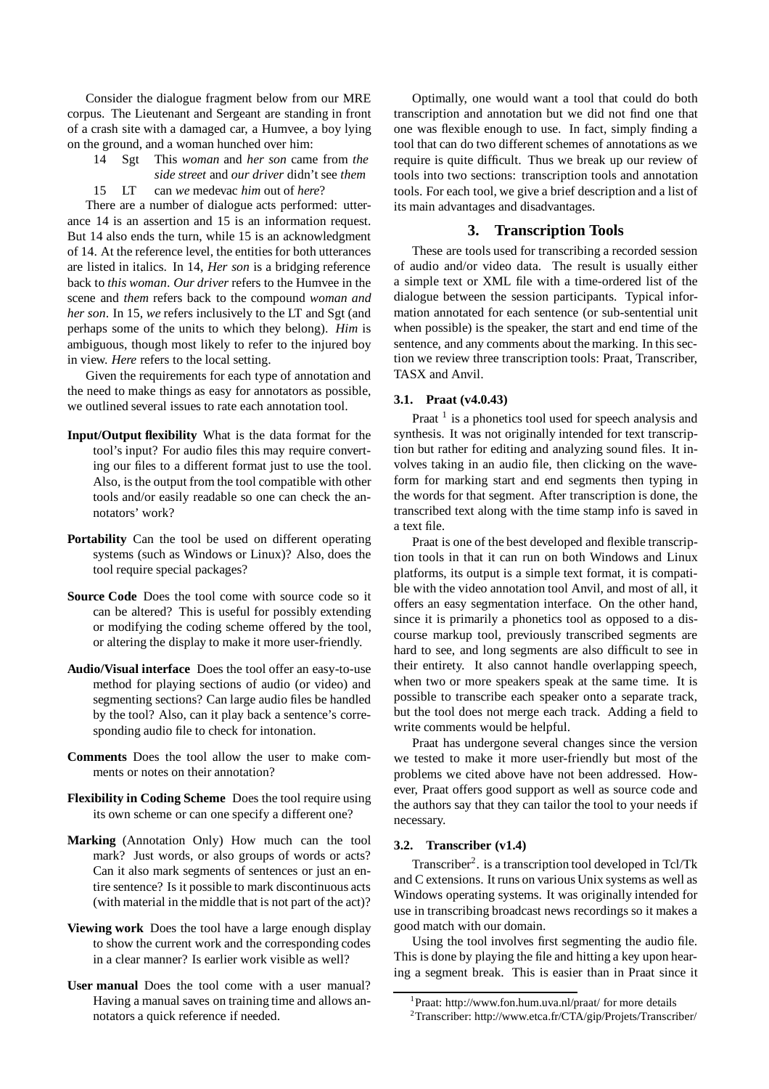Consider the dialogue fragment below from our MRE corpus. The Lieutenant and Sergeant are standing in front of a crash site with a damaged car, a Humvee, a boy lying on the ground, and a woman hunched over him:

- 14 Sgt This *woman* and *her son* came from *the side street* and *our driver* didn't see *them*
- 15 LT can *we* medevac *him* out of *here*?

There are a number of dialogue acts performed: utterance 14 is an assertion and 15 is an information request. But 14 also ends the turn, while 15 is an acknowledgment of 14. At the reference level, the entities for both utterances are listed in italics. In 14, *Her son* is a bridging reference back to *this woman*. *Our driver* refers to the Humvee in the scene and *them* refers back to the compound *woman and her son*. In 15, *we* refers inclusively to the LT and Sgt (and perhaps some of the units to which they belong). *Him* is ambiguous, though most likely to refer to the injured boy in view. *Here* refers to the local setting.

Given the requirements for each type of annotation and the need to make things as easy for annotators as possible, we outlined several issues to rate each annotation tool.

- **Input/Output flexibility** What is the data format for the tool's input? For audio files this may require converting our files to a different format just to use the tool. Also, is the output from the tool compatible with other tools and/or easily readable so one can check the annotators' work?
- **Portability** Can the tool be used on different operating systems (such as Windows or Linux)? Also, does the tool require special packages?
- **Source Code** Does the tool come with source code so it can be altered? This is useful for possibly extending or modifying the coding scheme offered by the tool, or altering the display to make it more user-friendly.
- **Audio/Visual interface** Does the tool offer an easy-to-use method for playing sections of audio (or video) and segmenting sections? Can large audio files be handled by the tool? Also, can it play back a sentence's corresponding audio file to check for intonation.
- **Comments** Does the tool allow the user to make comments or notes on their annotation?
- **Flexibility in Coding Scheme** Does the tool require using its own scheme or can one specify a different one?
- **Marking** (Annotation Only) How much can the tool mark? Just words, or also groups of words or acts? Can it also mark segments of sentences or just an entire sentence? Is it possible to mark discontinuous acts (with material in the middle that is not part of the act)?
- **Viewing work** Does the tool have a large enough display to show the current work and the corresponding codes in a clear manner? Is earlier work visible as well?
- **User manual** Does the tool come with a user manual? Having a manual saves on training time and allows annotators a quick reference if needed.

Optimally, one would want a tool that could do both transcription and annotation but we did not find one that one was flexible enough to use. In fact, simply finding a tool that can do two different schemes of annotations as we require is quite difficult. Thus we break up our review of tools into two sections: transcription tools and annotation tools. For each tool, we give a brief description and a list of its main advantages and disadvantages.

## **3. Transcription Tools**

These are tools used for transcribing a recorded session of audio and/or video data. The result is usually either a simple text or XML file with a time-ordered list of the dialogue between the session participants. Typical information annotated for each sentence (or sub-sentential unit when possible) is the speaker, the start and end time of the sentence, and any comments about the marking. In this section we review three transcription tools: Praat, Transcriber, TASX and Anvil.

#### **3.1. Praat (v4.0.43)**

Praat  $<sup>1</sup>$  is a phonetics tool used for speech analysis and</sup> synthesis. It was not originally intended for text transcription but rather for editing and analyzing sound files. It involves taking in an audio file, then clicking on the waveform for marking start and end segments then typing in the words for that segment. After transcription is done, the transcribed text along with the time stamp info is saved in a text file.

Praat is one of the best developed and flexible transcription tools in that it can run on both Windows and Linux platforms, its output is a simple text format, it is compatible with the video annotation tool Anvil, and most of all, it offers an easy segmentation interface. On the other hand, since it is primarily a phonetics tool as opposed to a discourse markup tool, previously transcribed segments are hard to see, and long segments are also difficult to see in their entirety. It also cannot handle overlapping speech, when two or more speakers speak at the same time. It is possible to transcribe each speaker onto a separate track, but the tool does not merge each track. Adding a field to write comments would be helpful.

Praat has undergone several changes since the version we tested to make it more user-friendly but most of the problems we cited above have not been addressed. However, Praat offers good support as well as source code and the authors say that they can tailor the tool to your needs if necessary.

#### **3.2. Transcriber (v1.4)**

Transcriber<sup>2</sup>. is a transcription tool developed in Tcl/Tk and C extensions. It runs on various Unix systems as well as Windows operating systems. It was originally intended for use in transcribing broadcast news recordings so it makes a good match with our domain.

Using the tool involves first segmenting the audio file. This is done by playing the file and hitting a key upon hearing a segment break. This is easier than in Praat since it

<sup>1</sup> Praat: http://www.fon.hum.uva.nl/praat/ for more details

<sup>2</sup>Transcriber: http://www.etca.fr/CTA/gip/Projets/Transcriber/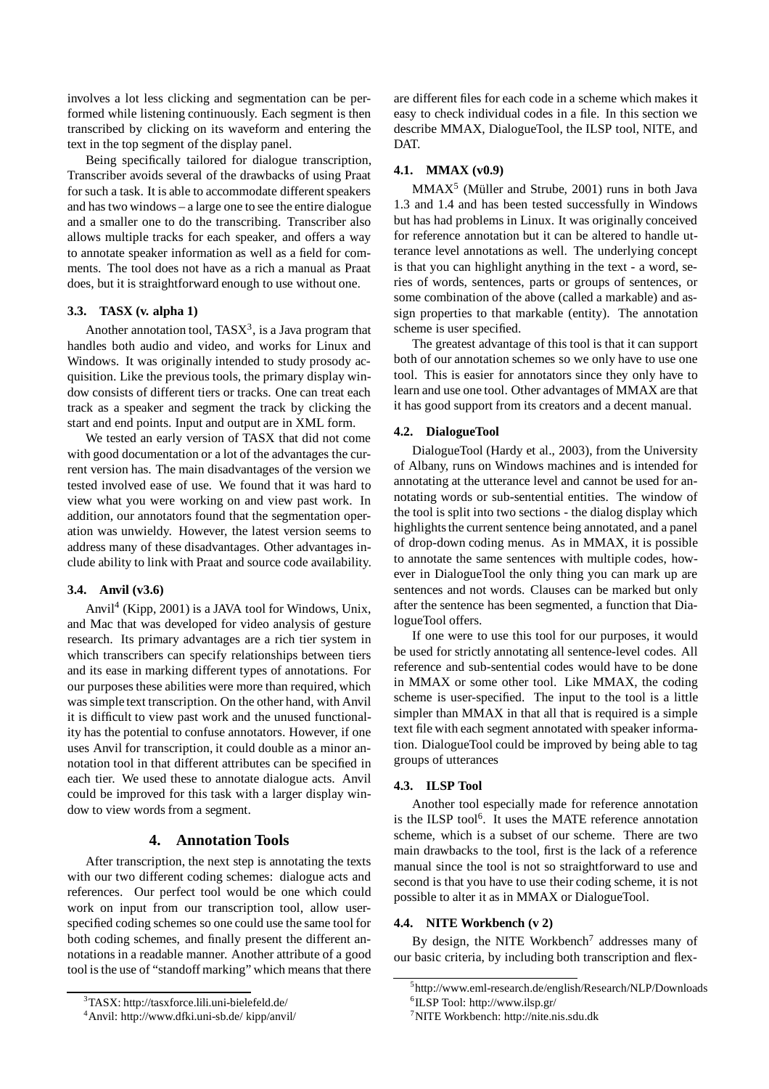involves a lot less clicking and segmentation can be performed while listening continuously. Each segment is then transcribed by clicking on its waveform and entering the text in the top segment of the display panel.

Being specifically tailored for dialogue transcription, Transcriber avoids several of the drawbacks of using Praat for such a task. It is able to accommodate different speakers and has two windows – a large one to see the entire dialogue and a smaller one to do the transcribing. Transcriber also allows multiple tracks for each speaker, and offers a way to annotate speaker information as well as a field for comments. The tool does not have as a rich a manual as Praat does, but it is straightforward enough to use without one.

#### **3.3. TASX (v. alpha 1)**

Another annotation tool,  $TASX<sup>3</sup>$ , is a Java program that handles both audio and video, and works for Linux and Windows. It was originally intended to study prosody acquisition. Like the previous tools, the primary display window consists of different tiers or tracks. One can treat each track as a speaker and segment the track by clicking the start and end points. Input and output are in XML form.

We tested an early version of TASX that did not come with good documentation or a lot of the advantages the current version has. The main disadvantages of the version we tested involved ease of use. We found that it was hard to view what you were working on and view past work. In addition, our annotators found that the segmentation operation was unwieldy. However, the latest version seems to address many of these disadvantages. Other advantages include ability to link with Praat and source code availability.

## **3.4. Anvil (v3.6)**

Anvil<sup>4</sup> (Kipp, 2001) is a JAVA tool for Windows, Unix, and Mac that was developed for video analysis of gesture research. Its primary advantages are a rich tier system in which transcribers can specify relationships between tiers and its ease in marking different types of annotations. For our purposes these abilities were more than required, which was simple text transcription. On the other hand, with Anvil it is difficult to view past work and the unused functionality has the potential to confuse annotators. However, if one uses Anvil for transcription, it could double as a minor annotation tool in that different attributes can be specified in each tier. We used these to annotate dialogue acts. Anvil could be improved for this task with a larger display window to view words from a segment.

## **4. Annotation Tools**

After transcription, the next step is annotating the texts with our two different coding schemes: dialogue acts and references. Our perfect tool would be one which could work on input from our transcription tool, allow userspecified coding schemes so one could use the same tool for both coding schemes, and finally present the different annotations in a readable manner. Another attribute of a good tool is the use of "standoff marking" which means that there

<sup>3</sup>TASX: http://tasxforce.lili.uni-bielefeld.de/

are different files for each code in a scheme which makes it easy to check individual codes in a file. In this section we describe MMAX, DialogueTool, the ILSP tool, NITE, and DAT.

## **4.1. MMAX (v0.9)**

MMAX<sup>5</sup> (Müller and Strube, 2001) runs in both Java 1.3 and 1.4 and has been tested successfully in Windows but has had problems in Linux. It was originally conceived for reference annotation but it can be altered to handle utterance level annotations as well. The underlying concept is that you can highlight anything in the text - a word, series of words, sentences, parts or groups of sentences, or some combination of the above (called a markable) and assign properties to that markable (entity). The annotation scheme is user specified.

The greatest advantage of this tool is that it can support both of our annotation schemes so we only have to use one tool. This is easier for annotators since they only have to learn and use one tool. Other advantages of MMAX are that it has good support from its creators and a decent manual.

#### **4.2. DialogueTool**

DialogueTool (Hardy et al., 2003), from the University of Albany, runs on Windows machines and is intended for annotating at the utterance level and cannot be used for annotating words or sub-sentential entities. The window of the tool is split into two sections - the dialog display which highlights the current sentence being annotated, and a panel of drop-down coding menus. As in MMAX, it is possible to annotate the same sentences with multiple codes, however in DialogueTool the only thing you can mark up are sentences and not words. Clauses can be marked but only after the sentence has been segmented, a function that DialogueTool offers.

If one were to use this tool for our purposes, it would be used for strictly annotating all sentence-level codes. All reference and sub-sentential codes would have to be done in MMAX or some other tool. Like MMAX, the coding scheme is user-specified. The input to the tool is a little simpler than MMAX in that all that is required is a simple text file with each segment annotated with speaker information. DialogueTool could be improved by being able to tag groups of utterances

#### **4.3. ILSP Tool**

Another tool especially made for reference annotation is the ILSP tool<sup>6</sup>. It uses the MATE reference annotation scheme, which is a subset of our scheme. There are two main drawbacks to the tool, first is the lack of a reference manual since the tool is not so straightforward to use and second is that you have to use their coding scheme, it is not possible to alter it as in MMAX or DialogueTool.

## **4.4. NITE Workbench (v 2)**

By design, the NITE Workbench<sup>7</sup> addresses many of our basic criteria, by including both transcription and flex-

<sup>4</sup>Anvil: http://www.dfki.uni-sb.de/ kipp/anvil/

<sup>5</sup> http://www.eml-research.de/english/Research/NLP/Downloads

<sup>6</sup> ILSP Tool: http://www.ilsp.gr/

 $7$ NITE Workbench: http://nite.nis.sdu.dk